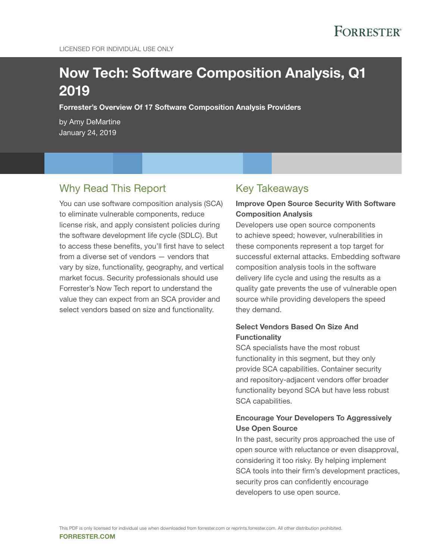# Now Tech: Software Composition Analysis, Q1 2019

Forrester's Overview Of 17 Software Composition Analysis Providers

by Amy DeMartine January 24, 2019

### Why Read This Report

You can use software composition analysis (SCA) to eliminate vulnerable components, reduce license risk, and apply consistent policies during the software development life cycle (SDLC). But to access these benefits, you'll first have to select from a diverse set of vendors — vendors that vary by size, functionality, geography, and vertical market focus. Security professionals should use Forrester's Now Tech report to understand the value they can expect from an SCA provider and select vendors based on size and functionality.

### Key Takeaways

### Improve Open Source Security With Software Composition Analysis

Developers use open source components to achieve speed; however, vulnerabilities in these components represent a top target for successful external attacks. Embedding software composition analysis tools in the software delivery life cycle and using the results as a quality gate prevents the use of vulnerable open source while providing developers the speed they demand.

### Select Vendors Based On Size And **Functionality**

SCA specialists have the most robust functionality in this segment, but they only provide SCA capabilities. Container security and repository-adjacent vendors offer broader functionality beyond SCA but have less robust SCA capabilities.

### Encourage Your Developers To Aggressively Use Open Source

In the past, security pros approached the use of open source with reluctance or even disapproval, considering it too risky. By helping implement SCA tools into their firm's development practices, security pros can confidently encourage developers to use open source.

FORRESTER.COM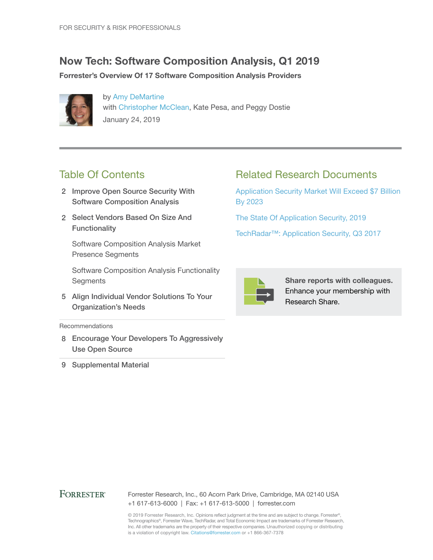## Now Tech: Software Composition Analysis, Q1 2019

Forrester's Overview Of 17 Software Composition Analysis Providers



by [Amy DeMartine](http://www.forrester.com/go?objectid=BIO7024) with [Christopher McClean,](http://www.forrester.com/go?objectid=BIO1835) Kate Pesa, and Peggy Dostie January 24, 2019

## Table Of Contents

- 2 Improve Open Source Security With Software Composition Analysis
- 2 Select Vendors Based On Size And **Functionality**

Software Composition Analysis Market Presence Segments

Software Composition Analysis Functionality **Segments** 

5 Align Individual Vendor Solutions To Your Organization's Needs

Recommendations

- 8 Encourage Your Developers To Aggressively Use Open Source
- 9 Supplemental Material

## Related Research Documents

[Application Security Market Will Exceed \\$7 Billion](http://www.forrester.com/go?objectid=RES144054)  [By 2023](http://www.forrester.com/go?objectid=RES144054)

[The State Of Application Security, 2019](http://www.forrester.com/go?objectid=RES145135)

[TechRadar™: Application Security, Q3 2017](http://www.forrester.com/go?objectid=RES137421)



Share reports with colleagues. Enhance your membership with Research Share.

### **FORRESTER®**

Forrester Research, Inc., 60 Acorn Park Drive, Cambridge, MA 02140 USA +1 617-613-6000 | Fax: +1 617-613-5000 | forrester.com

© 2019 Forrester Research, Inc. Opinions reflect judgment at the time and are subject to change. Forrester®, Technographics®, Forrester Wave, TechRadar, and Total Economic Impact are trademarks of Forrester Research, Inc. All other trademarks are the property of their respective companies. Unauthorized copying or distributing is a violation of copyright law. Citations@forrester.com or +1 866-367-7378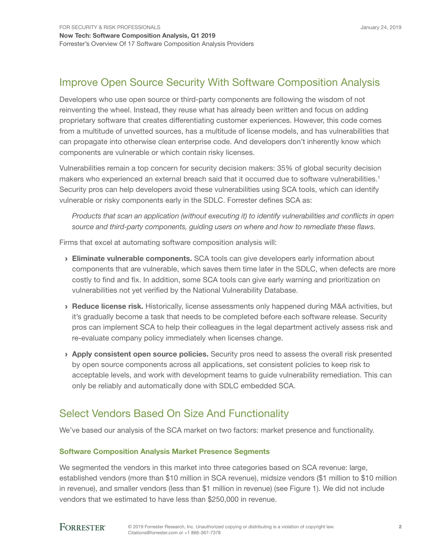## Improve Open Source Security With Software Composition Analysis

Developers who use open source or third-party components are following the wisdom of not reinventing the wheel. Instead, they reuse what has already been written and focus on adding proprietary software that creates differentiating customer experiences. However, this code comes from a multitude of unvetted sources, has a multitude of license models, and has vulnerabilities that can propagate into otherwise clean enterprise code. And developers don't inherently know which components are vulnerable or which contain risky licenses.

Vulnerabilities remain a top concern for security decision makers: 35% of global security decision makers who experienced an external breach said that it occurred due to software vulnerabilities.<sup>1</sup> Security pros can help developers avoid these vulnerabilities using SCA tools, which can identify vulnerable or risky components early in the SDLC. Forrester defines SCA as:

*Products that scan an application (without executing it) to identify vulnerabilities and conflicts in open source and third-party components, guiding users on where and how to remediate these flaws.*

Firms that excel at automating software composition analysis will:

- **Eliminate vulnerable components.** SCA tools can give developers early information about components that are vulnerable, which saves them time later in the SDLC, when defects are more costly to find and fix. In addition, some SCA tools can give early warning and prioritization on vulnerabilities not yet verified by the National Vulnerability Database.
- › Reduce license risk. Historically, license assessments only happened during M&A activities, but it's gradually become a task that needs to be completed before each software release. Security pros can implement SCA to help their colleagues in the legal department actively assess risk and re-evaluate company policy immediately when licenses change.
- > Apply consistent open source policies. Security pros need to assess the overall risk presented by open source components across all applications, set consistent policies to keep risk to acceptable levels, and work with development teams to guide vulnerability remediation. This can only be reliably and automatically done with SDLC embedded SCA.

## Select Vendors Based On Size And Functionality

We've based our analysis of the SCA market on two factors: market presence and functionality.

### Software Composition Analysis Market Presence Segments

We segmented the vendors in this market into three categories based on SCA revenue: large, established vendors (more than \$10 million in SCA revenue), midsize vendors (\$1 million to \$10 million in revenue), and smaller vendors (less than \$1 million in revenue) (see Figure 1). We did not include vendors that we estimated to have less than \$250,000 in revenue.

### **FORRESTER®**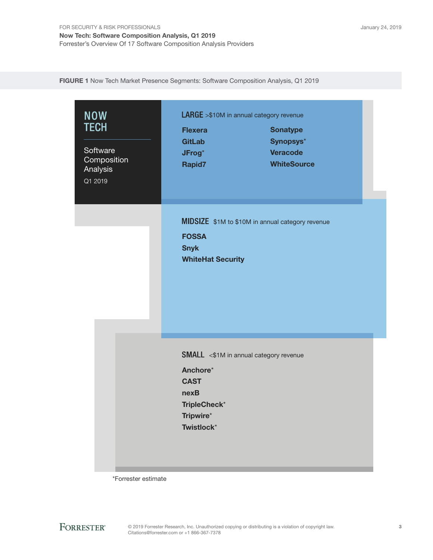FIGURE 1 Now Tech Market Presence Segments: Software Composition Analysis, Q1 2019

| <b>NOW</b><br><b>TECH</b><br>Software<br>Composition<br>Analysis<br>Q1 2019 | <b>Flexera</b><br><b>GitLab</b><br>JFrog*<br>Rapid7                        | <b>LARGE</b> >\$10M in annual category revenue<br><b>Sonatype</b><br>Synopsys*<br><b>Veracode</b><br><b>WhiteSource</b> |  |
|-----------------------------------------------------------------------------|----------------------------------------------------------------------------|-------------------------------------------------------------------------------------------------------------------------|--|
|                                                                             | <b>FOSSA</b><br><b>Snyk</b><br><b>WhiteHat Security</b>                    | MIDSIZE \$1M to \$10M in annual category revenue                                                                        |  |
|                                                                             | Anchore*<br><b>CAST</b><br>nexB<br>TripleCheck*<br>Tripwire*<br>Twistlock* | <b>SMALL</b> <\$1M in annual category revenue                                                                           |  |

\*Forrester estimate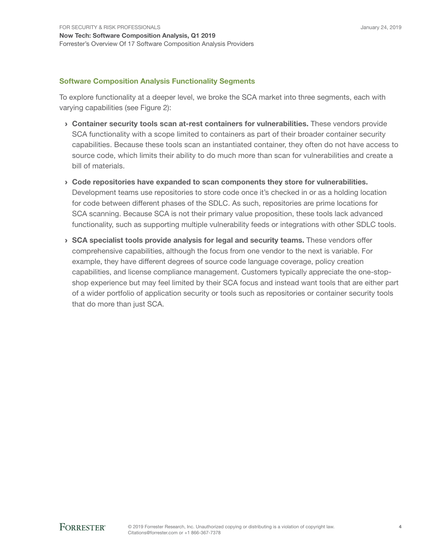### Software Composition Analysis Functionality Segments

To explore functionality at a deeper level, we broke the SCA market into three segments, each with varying capabilities (see Figure 2):

- › Container security tools scan at-rest containers for vulnerabilities. These vendors provide SCA functionality with a scope limited to containers as part of their broader container security capabilities. Because these tools scan an instantiated container, they often do not have access to source code, which limits their ability to do much more than scan for vulnerabilities and create a bill of materials.
- › Code repositories have expanded to scan components they store for vulnerabilities. Development teams use repositories to store code once it's checked in or as a holding location for code between different phases of the SDLC. As such, repositories are prime locations for SCA scanning. Because SCA is not their primary value proposition, these tools lack advanced functionality, such as supporting multiple vulnerability feeds or integrations with other SDLC tools.
- › SCA specialist tools provide analysis for legal and security teams. These vendors offer comprehensive capabilities, although the focus from one vendor to the next is variable. For example, they have different degrees of source code language coverage, policy creation capabilities, and license compliance management. Customers typically appreciate the one-stopshop experience but may feel limited by their SCA focus and instead want tools that are either part of a wider portfolio of application security or tools such as repositories or container security tools that do more than just SCA.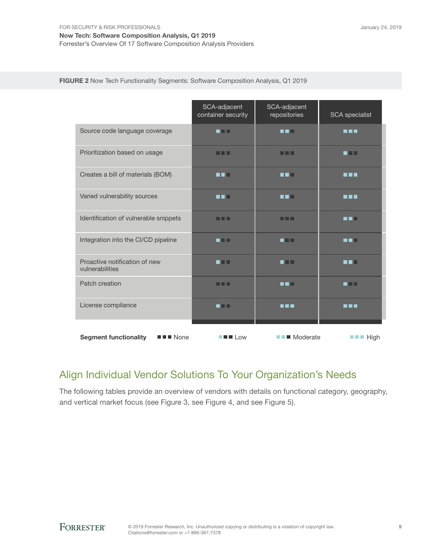Forrester's Overview Of 17 Software Composition Analysis Providers

|                                                                    | SCA-adjacent<br>container security                                         | SCA-adjacent<br>repositories | <b>SCA</b> specialist              |
|--------------------------------------------------------------------|----------------------------------------------------------------------------|------------------------------|------------------------------------|
| Source code language coverage                                      | n Film                                                                     | n an I                       | <b>R R R</b>                       |
| Prioritization based on usage                                      | n din l                                                                    | n na m                       | n na                               |
| Creates a bill of materials (BOM)                                  | 88 H                                                                       | n ni T                       | n n n                              |
| Varied vulnerability sources                                       | M M M                                                                      | n din l                      | <b>HER</b>                         |
| Identification of vulnerable snippets                              | n n                                                                        | n na                         | n din I                            |
| Integration into the CI/CD pipeline                                | n El El                                                                    | an n                         | m min                              |
| Proactive notification of new<br>vulnerabilities                   | n Film                                                                     | n Tin                        | n na                               |
| Patch creation                                                     | nn                                                                         | n n H                        | n na                               |
| License compliance                                                 | n Film                                                                     | <b>R 8 8</b>                 | n 11 H                             |
| $\blacksquare$ $\blacksquare$ None<br><b>Segment functionality</b> | $\blacksquare$ $\blacksquare$ $\blacksquare$ $\blacksquare$ $\blacksquare$ | $\blacksquare$ Moderate      | $\blacksquare$ $\blacksquare$ High |

FIGURE 2 Now Tech Functionality Segments: Software Composition Analysis, Q1 2019

## Align Individual Vendor Solutions To Your Organization's Needs

The following tables provide an overview of vendors with details on functional category, geography, and vertical market focus (see Figure 3, see Figure 4, and see Figure 5).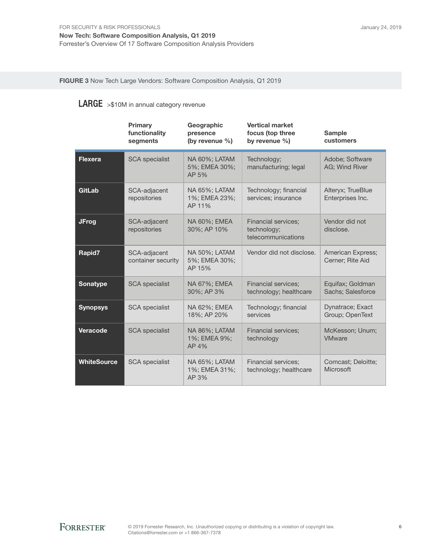FIGURE 3 Now Tech Large Vendors: Software Composition Analysis, Q1 2019

### LARGE >\$10M in annual category revenue

|                    | Primary<br>functionality<br>segments | Geographic<br>presence<br>(by revenue %)        | <b>Vertical market</b><br>focus (top three<br>by revenue $\%$ ) | <b>Sample</b><br>customers            |
|--------------------|--------------------------------------|-------------------------------------------------|-----------------------------------------------------------------|---------------------------------------|
| <b>Flexera</b>     | <b>SCA</b> specialist                | NA 60%; LATAM<br>5%; EMEA 30%;<br>AP 5%         | Technology;<br>manufacturing; legal                             | Adobe; Software<br>AG: Wind River     |
| GitLab             | SCA-adjacent<br>repositories         | NA 65%; LATAM<br>1%; EMEA 23%;<br>AP 11%        | Technology; financial<br>services; insurance                    | Alteryx; TrueBlue<br>Enterprises Inc. |
| <b>JFrog</b>       | SCA-adjacent<br>repositories         | NA 60%; EMEA<br>30%; AP 10%                     | <b>Financial services;</b><br>technology;<br>telecommunications | Vendor did not<br>disclose.           |
| Rapid7             | SCA-adjacent<br>container security   | <b>NA 50%: LATAM</b><br>5%; EMEA 30%;<br>AP 15% | Vendor did not disclose.                                        | American Express;<br>Cerner; Rite Aid |
| <b>Sonatype</b>    | <b>SCA</b> specialist                | NA 67%; EMEA<br>30%; AP 3%                      | <b>Financial services:</b><br>technology; healthcare            | Equifax; Goldman<br>Sachs; Salesforce |
| <b>Synopsys</b>    | <b>SCA</b> specialist                | NA 62%; EMEA<br>18%; AP 20%                     | Technology; financial<br>services                               | Dynatrace; Exact<br>Group; OpenText   |
| Veracode           | <b>SCA</b> specialist                | NA 86%; LATAM<br>1%; EMEA 9%;<br>AP 4%          | <b>Financial services:</b><br>technology                        | McKesson; Unum;<br><b>VMware</b>      |
| <b>WhiteSource</b> | <b>SCA</b> specialist                | NA 65%; LATAM<br>1%; EMEA 31%;<br>AP 3%         | <b>Financial services;</b><br>technology; healthcare            | Comcast; Deloitte;<br>Microsoft       |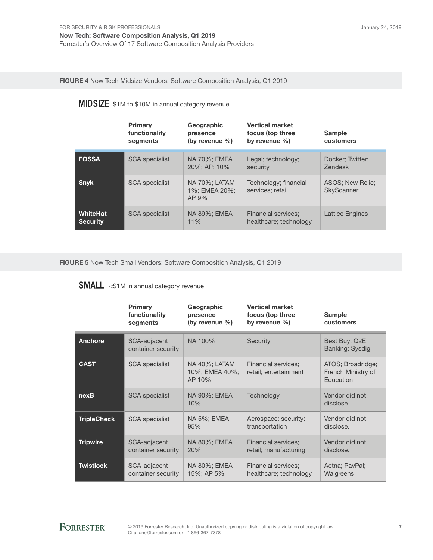FIGURE 4 Now Tech Midsize Vendors: Software Composition Analysis, Q1 2019

## MIDSIZE \$1M to \$10M in annual category revenue

|                             | Primary<br>functionality<br>segments | Geographic<br>presence<br>(by revenue $\%$ ) | <b>Vertical market</b><br>focus (top three<br>by revenue $\%$ ) | <b>Sample</b><br>customers         |
|-----------------------------|--------------------------------------|----------------------------------------------|-----------------------------------------------------------------|------------------------------------|
| <b>FOSSA</b>                | <b>SCA</b> specialist                | <b>NA 70%; EMEA</b><br>20%; AP: 10%          | Legal; technology;<br>security                                  | Docker; Twitter;<br><b>Zendesk</b> |
| <b>Snyk</b>                 | <b>SCA</b> specialist                | NA 70%; LATAM<br>1%; EMEA 20%;<br>$AP.9\%$   | Technology; financial<br>services: retail                       | ASOS; New Relic;<br>SkyScanner     |
| WhiteHat<br><b>Security</b> | <b>SCA</b> specialist                | NA 89%; EMEA<br>11%                          | <b>Financial services:</b><br>healthcare; technology            | Lattice Engines                    |

FIGURE 5 Now Tech Small Vendors: Software Composition Analysis, Q1 2019

## SMALL <\$1M in annual category revenue

|                    | <b>Primary</b><br>functionality<br>segments | Geographic<br>presence<br>(by revenue $\%$ ) | <b>Vertical market</b><br>focus (top three<br>by revenue $\%$ ) | <b>Sample</b><br>customers                           |
|--------------------|---------------------------------------------|----------------------------------------------|-----------------------------------------------------------------|------------------------------------------------------|
| Anchore            | SCA-adjacent<br>container security          | NA 100%                                      | Security                                                        | Best Buy; Q2E<br>Banking; Sysdig                     |
| <b>CAST</b>        | <b>SCA</b> specialist                       | NA 40%; LATAM<br>10%; EMEA 40%;<br>AP 10%    | Financial services;<br>retail; entertainment                    | ATOS; Broadridge;<br>French Ministry of<br>Education |
| nexB               | <b>SCA</b> specialist                       | NA 90%; EMEA<br>10%                          | Technology                                                      | Vendor did not<br>disclose.                          |
| <b>TripleCheck</b> | <b>SCA</b> specialist                       | NA 5%; EMEA<br>95%                           | Aerospace; security;<br>transportation                          | Vendor did not<br>disclose.                          |
| <b>Tripwire</b>    | SCA-adjacent<br>container security          | NA 80%; EMEA<br>20%                          | <b>Financial services;</b><br>retail; manufacturing             | Vendor did not<br>disclose.                          |
| <b>Twistlock</b>   | SCA-adjacent<br>container security          | NA 80%; EMEA<br>15%; AP 5%                   | <b>Financial services;</b><br>healthcare; technology            | Aetna; PayPal;<br>Walgreens                          |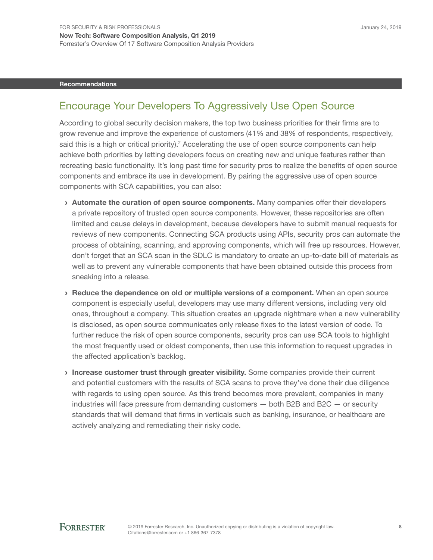#### Recommendations

### Encourage Your Developers To Aggressively Use Open Source

According to global security decision makers, the top two business priorities for their firms are to grow revenue and improve the experience of customers (41% and 38% of respondents, respectively, said this is a high or critical priority).<sup>2</sup> Accelerating the use of open source components can help achieve both priorities by letting developers focus on creating new and unique features rather than recreating basic functionality. It's long past time for security pros to realize the benefits of open source components and embrace its use in development. By pairing the aggressive use of open source components with SCA capabilities, you can also:

- › Automate the curation of open source components. Many companies offer their developers a private repository of trusted open source components. However, these repositories are often limited and cause delays in development, because developers have to submit manual requests for reviews of new components. Connecting SCA products using APIs, security pros can automate the process of obtaining, scanning, and approving components, which will free up resources. However, don't forget that an SCA scan in the SDLC is mandatory to create an up-to-date bill of materials as well as to prevent any vulnerable components that have been obtained outside this process from sneaking into a release.
- › Reduce the dependence on old or multiple versions of a component. When an open source component is especially useful, developers may use many different versions, including very old ones, throughout a company. This situation creates an upgrade nightmare when a new vulnerability is disclosed, as open source communicates only release fixes to the latest version of code. To further reduce the risk of open source components, security pros can use SCA tools to highlight the most frequently used or oldest components, then use this information to request upgrades in the affected application's backlog.
- › Increase customer trust through greater visibility. Some companies provide their current and potential customers with the results of SCA scans to prove they've done their due diligence with regards to using open source. As this trend becomes more prevalent, companies in many industries will face pressure from demanding customers — both B2B and B2C — or security standards that will demand that firms in verticals such as banking, insurance, or healthcare are actively analyzing and remediating their risky code.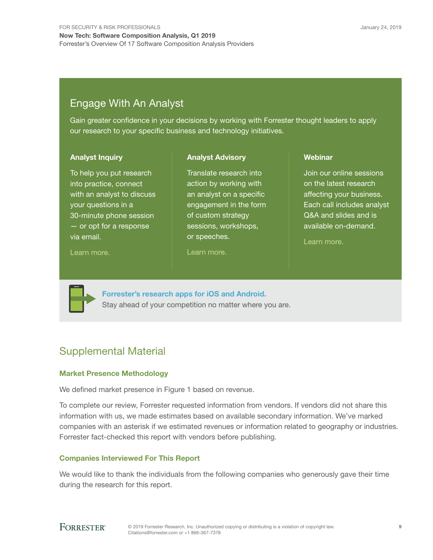## Engage With An Analyst

Gain greater confidence in your decisions by working with Forrester thought leaders to apply our research to your specific business and technology initiatives.

> Translate research into action by working with an analyst on a specific engagement in the form of custom strategy sessions, workshops,

Analyst Advisory

#### Analyst Inquiry

To help you put research into practice, connect with an analyst to discuss your questions in a 30-minute phone session — or opt for a response via email.

#### [Learn more.](http://forr.com/1einFan)

[Learn more.](http://www.forrester.com/Analyst-Advisory/-/E-MPL172)

or speeches.

Webinar

Join our online sessions on the latest research affecting your business. Each call includes analyst Q&A and slides and is available on-demand.

[Learn more](https://www.forrester.com/events?N=10006+5025).



[Forrester's research apps for iOS and Android.](http://www.forrester.com/app) Stay ahead of your competition no matter where you are.

## Supplemental Material

### Market Presence Methodology

We defined market presence in Figure 1 based on revenue.

To complete our review, Forrester requested information from vendors. If vendors did not share this information with us, we made estimates based on available secondary information. We've marked companies with an asterisk if we estimated revenues or information related to geography or industries. Forrester fact-checked this report with vendors before publishing.

### Companies Interviewed For This Report

We would like to thank the individuals from the following companies who generously gave their time during the research for this report.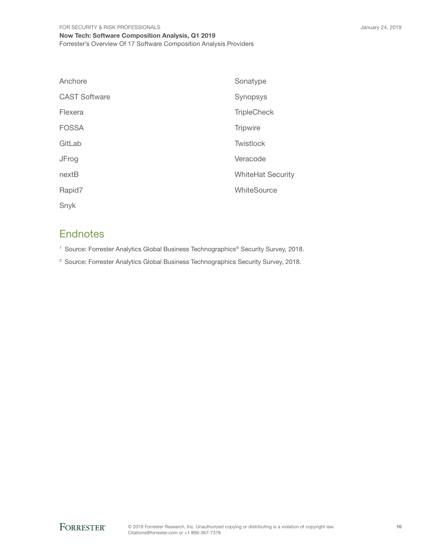| Anchore              | Sonatype                 |
|----------------------|--------------------------|
| <b>CAST Software</b> | Synopsys                 |
| Flexera              | <b>TripleCheck</b>       |
| <b>FOSSA</b>         | <b>Tripwire</b>          |
| GitLab               | Twistlock                |
| JFrog                | Veracode                 |
| nextB                | <b>WhiteHat Security</b> |
| Rapid7               | WhiteSource              |
| Snyk                 |                          |

### **Endnotes**

<sup>1</sup> Source: Forrester Analytics Global Business Technographics® Security Survey, 2018.

<sup>2</sup> Source: Forrester Analytics Global Business Technographics Security Survey, 2018.